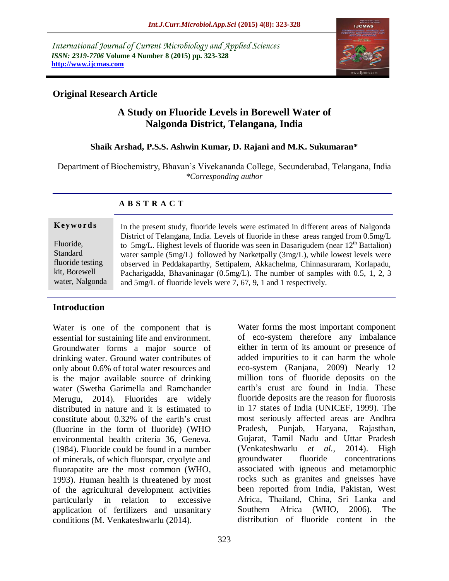*International Journal of Current Microbiology and Applied Sciences ISSN: 2319-7706* **Volume 4 Number 8 (2015) pp. 323-328 http://www.ijcmas.com** 



## **Original Research Article**

# **A Study on Fluoride Levels in Borewell Water of Nalgonda District, Telangana, India**

## **Shaik Arshad, P.S.S. Ashwin Kumar, D. Rajani and M.K. Sukumaran\***

Department of Biochemistry, Bhavan's Vivekananda College, Secunderabad, Telangana, India *\*Corresponding author*

#### **A B S T R A C T**

#### **K ey w o rd s**

Fluoride, Standard fluoride testing kit, Borewell water, Nalgonda In the present study, fluoride levels were estimated in different areas of Nalgonda District of Telangana, India. Levels of fluoride in these areas ranged from 0.5mg/L to  $5mg/L$ . Highest levels of fluoride was seen in Dasarigudem (near  $12<sup>th</sup>$  Battalion) water sample (5mg/L) followed by Narketpally (3mg/L), while lowest levels were observed in Peddakaparthy, Settipalem, Akkachelma, Chinnasuraram, Korlapadu, Pacharigadda, Bhavaninagar (0.5mg/L). The number of samples with 0.5, 1, 2, 3 and 5mg/L of fluoride levels were 7, 67, 9, 1 and 1 respectively.

## **Introduction**

Water is one of the component that is essential for sustaining life and environment. Groundwater forms a major source of drinking water. Ground water contributes of only about 0.6% of total water resources and is the major available source of drinking water (Swetha Garimella and Ramchander Merugu, 2014). Fluorides are widely distributed in nature and it is estimated to constitute about 0.32% of the earth's crust (fluorine in the form of fluoride) (WHO environmental health criteria 36, Geneva. (1984). Fluoride could be found in a number of minerals, of which fluorspar, cryolyte and fluorapatite are the most common (WHO, 1993). Human health is threatened by most of the agricultural development activities particularly in relation to excessive application of fertilizers and unsanitary conditions (M. Venkateshwarlu (2014).

Water forms the most important component of eco-system therefore any imbalance either in term of its amount or presence of added impurities to it can harm the whole eco-system (Ranjana, 2009) Nearly 12 million tons of fluoride deposits on the earth's crust are found in India. These fluoride deposits are the reason for fluorosis in 17 states of India (UNICEF, 1999). The most seriously affected areas are Andhra Pradesh, Punjab, Haryana, Rajasthan, Gujarat, Tamil Nadu and Uttar Pradesh (Venkateshwarlu *et al.,* 2014). High groundwater fluoride concentrations associated with igneous and metamorphic rocks such as granites and gneisses have been reported from India, Pakistan, West Africa, Thailand, China, Sri Lanka and Southern Africa (WHO, 2006). The distribution of fluoride content in the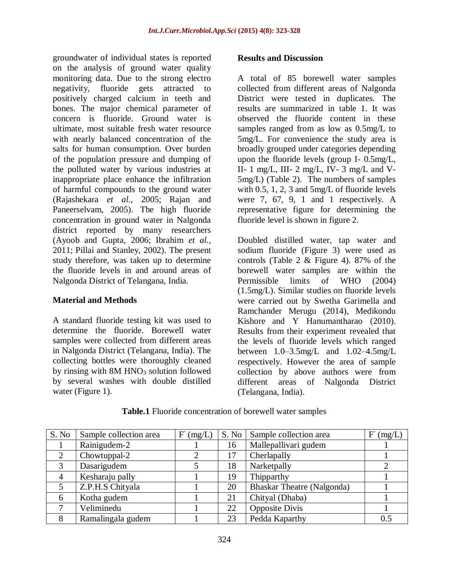groundwater of individual states is reported on the analysis of ground water quality monitoring data. Due to the strong electro negativity, fluoride gets attracted to positively charged calcium in teeth and bones. The major chemical parameter of concern is fluoride. Ground water is ultimate, most suitable fresh water resource with nearly balanced concentration of the salts for human consumption. Over burden of the population pressure and dumping of the polluted water by various industries at inappropriate place enhance the infiltration of harmful compounds to the ground water (Rajashekara *et al.,* 2005; Rajan and Paneerselvam, 2005). The high fluoride concentration in ground water in Nalgonda district reported by many researchers (Ayoob and Gupta, 2006; Ibrahim *et al.,* 2011; Pillai and Stanley, 2002). The present study therefore, was taken up to determine the fluoride levels in and around areas of Nalgonda District of Telangana, India.

## **Material and Methods**

A standard fluoride testing kit was used to determine the fluoride. Borewell water samples were collected from different areas in Nalgonda District (Telangana, India). The collecting bottles were thoroughly cleaned by rinsing with  $8M HNO<sub>3</sub>$  solution followed by several washes with double distilled water (Figure 1).

#### **Results and Discussion**

A total of 85 borewell water samples collected from different areas of Nalgonda District were tested in duplicates. The results are summarized in table 1. It was observed the fluoride content in these samples ranged from as low as 0.5mg/L to 5mg/L. For convenience the study area is broadly grouped under categories depending upon the fluoride levels (group I- 0.5mg/L, II- 1 mg/L, III- 2 mg/L, IV- 3 mg/L and V-5mg/L) (Table 2). The numbers of samples with 0.5, 1, 2, 3 and 5mg/L of fluoride levels were 7, 67, 9, 1 and 1 respectively. A representative figure for determining the fluoride level is shown in figure 2.

Doubled distilled water, tap water and sodium fluoride (Figure 3) were used as controls (Table 2 & Figure 4). 87% of the borewell water samples are within the Permissible limits of WHO (2004) (1.5mg/L). Similar studies on fluoride levels were carried out by Swetha Garimella and Ramchander Merugu (2014), Medikondu Kishore and Y Hanumantharao (2010). Results from their experiment revealed that the levels of fluoride levels which ranged between  $1.0-3.5$ mg/L and  $1.02-4.5$ mg/L respectively. However the area of sample collection by above authors were from different areas of Nalgonda District (Telangana, India).

| S. No          | Sample collection area | $\rm F$<br>(mg/L) | S. No | Sample collection area            | (mg/L)<br>$\mathbf{F}$ |
|----------------|------------------------|-------------------|-------|-----------------------------------|------------------------|
|                | Rainigudem-2           |                   | 16    | Mallepallivari gudem              |                        |
| $\overline{2}$ | Chowtuppal-2           |                   | 17    | Cherlapally                       |                        |
| 3              | Dasarigudem            |                   | 18    | Narketpally                       |                        |
|                | Kesharaju pally        |                   | 19    | Thipparthy                        |                        |
|                | Z.P.H.S Chityala       |                   | 20    | <b>Bhaskar Theatre (Nalgonda)</b> |                        |
| 6              | Kotha gudem            |                   | 21    | Chityal (Dhaba)                   |                        |
| ┓              | Veliminedu             |                   | 22    | <b>Opposite Divis</b>             |                        |
| 8              | Ramalingala gudem      |                   | 23    | Pedda Kaparthy                    | 0.5                    |

**Table.1** Fluoride concentration of borewell water samples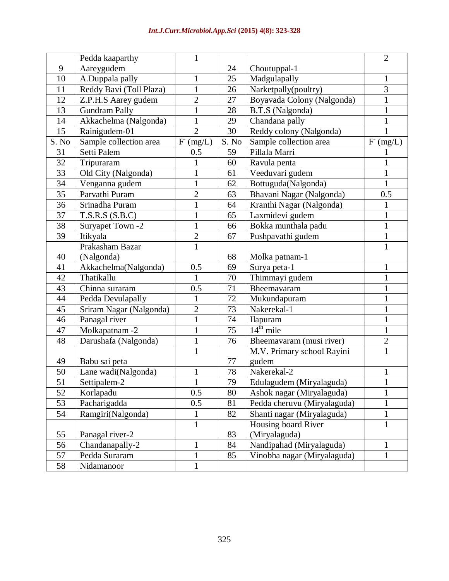|       | Pedda kaaparthy         | $\mathbf{1}$   |       |                                 | $\overline{2}$      |
|-------|-------------------------|----------------|-------|---------------------------------|---------------------|
| 9     | Aareygudem              |                | 24    | Choutuppal-1                    |                     |
| 10    | A.Duppala pally         | $\mathbf{1}$   | 25    | Madgulapally                    | $\mathbf{1}$        |
| 11    | Reddy Bavi (Toll Plaza) | $\mathbf{1}$   | 26    | Narketpally(poultry)            | $\overline{3}$      |
| 12    | Z.P.H.S Aarey gudem     | $\overline{2}$ | 27    | Boyavada Colony (Nalgonda)      | $\mathbf{1}$        |
| 13    | <b>Gundram Pally</b>    | $\mathbf{1}$   | 28    | B.T.S (Nalgonda)                | $\mathbf{1}$        |
| 14    | Akkachelma (Nalgonda)   | $\mathbf{1}$   | 29    | Chandana pally                  | $\mathbf{1}$        |
| 15    | Rainigudem-01           | $\overline{2}$ | 30    | Reddy colony (Nalgonda)         | $\mathbf{1}$        |
| S. No | Sample collection area  | F (mg/L)       | S. No | Sample collection area          | ${\rm F}$<br>(mg/L) |
| 31    | Setti Palem             | 0.5            | 59    | Pillala Marri                   |                     |
| 32    | Tripuraram              | 1              | 60    | Ravula penta                    | 1                   |
| 33    | Old City (Nalgonda)     | $\mathbf{1}$   | 61    | Veeduvari gudem<br>$\mathbf{1}$ |                     |
| 34    | Venganna gudem          | $\mathbf{1}$   | 62    | Bottuguda(Nalgonda)             | $\mathbf{1}$        |
| 35    | Parvathi Puram          | $\overline{2}$ | 63    | Bhavani Nagar (Nalgonda)        | 0.5                 |
| 36    | Srinadha Puram          | $\mathbf{1}$   | 64    | Kranthi Nagar (Nalgonda)        | $\mathbf{1}$        |
| 37    | T.S.R.S(S.B.C)          | $\mathbf{1}$   | 65    | Laxmidevi gudem                 | $\mathbf{1}$        |
| 38    | Suryapet Town -2        | $\mathbf{1}$   | 66    | Bokka munthala padu             | $\mathbf{1}$        |
| 39    | Itikyala                | $\overline{2}$ | 67    | Pushpavathi gudem               | $\mathbf{1}$        |
|       | Prakasham Bazar         | $\overline{1}$ |       |                                 | $\mathbf{1}$        |
| 40    | (Nalgonda)              |                | 68    | Molka patnam-1                  |                     |
| 41    | Akkachelma(Nalgonda)    | 0.5            | 69    | Surya peta-1                    | $\mathbf{1}$        |
| 42    | Thatikallu              | $\mathbf{1}$   | 70    | Thimmayi gudem                  | $\mathbf{1}$        |
| 43    | Chinna suraram          | 0.5            | 71    | Bheemavaram                     | $\mathbf{1}$        |
| 44    | Pedda Devulapally       | $\mathbf{1}$   | 72    | Mukundapuram                    | $\mathbf{1}$        |
| 45    | Sriram Nagar (Nalgonda) | $\overline{2}$ | 73    | Nakerekal-1                     | $\mathbf{1}$        |
| 46    | Panagal river           | $\mathbf{1}$   | 74    | Ilapuram                        | $\mathbf{1}$        |
| 47    | Molkapatnam-2           | $\mathbf{1}$   | 75    | $14th$ mile                     | $\mathbf{1}$        |
| 48    | Darushafa (Nalgonda)    | $\mathbf{1}$   | 76    | Bheemavaram (musi river)        | $\overline{2}$      |
|       |                         | $\mathbf{1}$   |       | M.V. Primary school Rayini      | $\overline{1}$      |
| 49    | Babu sai peta           |                | 77    | gudem                           |                     |
| 50    | Lane wadi(Nalgonda)     | $\mathbf{1}$   | 78    | Nakerekal-2                     | $\mathbf{1}$        |
| 51    | Settipalem-2            | $\mathbf{I}$   | 79    | Edulagudem (Miryalaguda)        | $\mathbf{I}$        |
| 52    | Korlapadu               | 0.5            | 80    | Ashok nagar (Miryalaguda)       | $\mathbf{1}$        |
| 53    | Pacharigadda            | 0.5            | 81    | Pedda cheruvu (Miryalaguda)     | $\mathbf{1}$        |
| 54    | Ramgiri(Nalgonda)       | 1              | 82    | Shanti nagar (Miryalaguda)      | $\,1$               |
|       |                         | $\mathbf{1}$   |       | Housing board River             | $\mathbf{1}$        |
| 55    | Panagal river-2         |                | 83    | (Miryalaguda)                   |                     |
| 56    | Chandanapally-2         | $\mathbf{1}$   | 84    | Nandipahad (Miryalaguda)        | $\mathbf{1}$        |
| 57    | Pedda Suraram           | $\mathbf{1}$   | 85    | Vinobha nagar (Miryalaguda)     | $\mathbf{1}$        |
| 58    | Nidamanoor              | $\mathbf{1}$   |       |                                 |                     |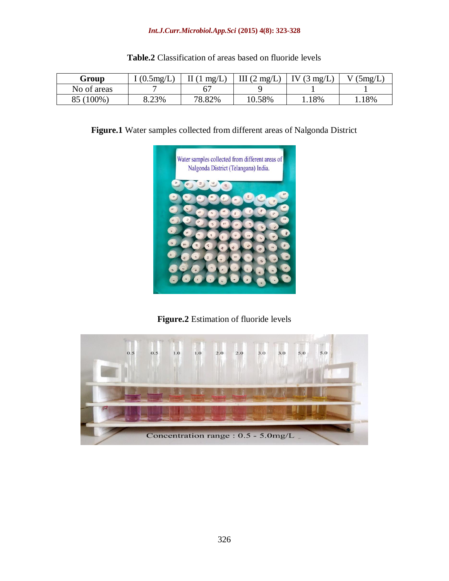#### *Int.J.Curr.Microbiol.App.Sci* **(2015) 4(8): 323-328**

| Group       | $(0.5 \text{mg/L})$ | $1 \text{ mg/L}$ | III $(2 \text{ mg/L})$ | $(3 \text{ mg/L})$ | 5mg/L |
|-------------|---------------------|------------------|------------------------|--------------------|-------|
| No of areas |                     |                  |                        |                    |       |
| 85 (100%)   | 8.23%               | 78.82%           | 10.58%                 | 18%                | 18%   |

## **Table.2** Classification of areas based on fluoride levels

**Figure.1** Water samples collected from different areas of Nalgonda District



**Figure.2** Estimation of fluoride levels

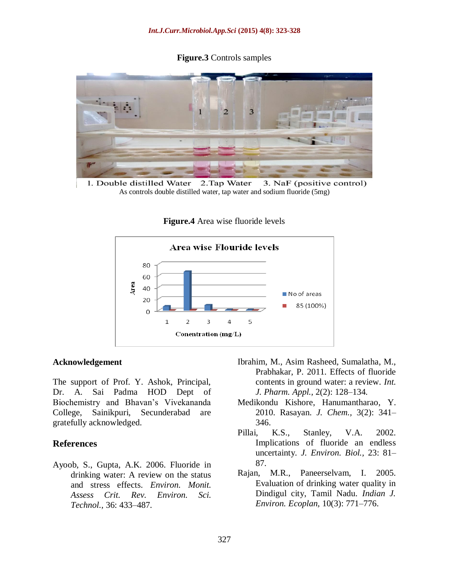**Figure.3** Controls samples



1. Double distilled Water 2. Tap Water 3. NaF (positive control) As controls double distilled water, tap water and sodium fluoride (5mg)

**Figure.4** Area wise fluoride levels



#### **Acknowledgement**

The support of Prof. Y. Ashok, Principal, Dr. A. Sai Padma HOD Dept of Biochemistry and Bhavan's Vivekananda College, Sainikpuri, Secunderabad are gratefully acknowledged.

#### **References**

Ayoob, S., Gupta, A.K. 2006. Fluoride in drinking water: A review on the status and stress effects. *Environ. Monit. Assess Crit. Rev. Environ. Sci. Technol.,* 36: 433–487.

- Ibrahim, M., Asim Rasheed, Sumalatha, M., Prabhakar, P. 2011. Effects of fluoride contents in ground water: a review. *Int. J. Pharm. Appl.,* 2(2): 128–134.
- Medikondu Kishore, Hanumantharao, Y. 2010. Rasayan. *J. Chem.,* 3(2): 341– 346.
- Pillai, K.S., Stanley, V.A. 2002. Implications of fluoride an endless uncertainty. *J. Environ. Biol.,* 23: 81– 87.
- Rajan, M.R., Paneerselvam, I. 2005. Evaluation of drinking water quality in Dindigul city, Tamil Nadu. *Indian J. Environ. Ecoplan,* 10(3): 771–776.